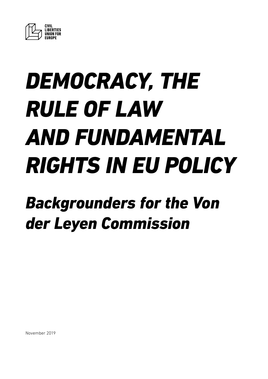

# *DEMOCRACY, THE RULE OF LAW AND FUNDAMENTAL RIGHTS IN EU POLICY*

# *Backgrounders for the Von der Leyen Commission*

November 2019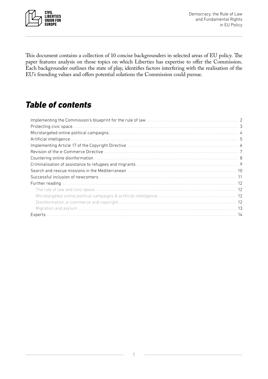

This document contains a collection of 10 concise backgrounders in selected areas of EU policy. The paper features analysis on those topics on which Liberties has expertise to offer the Commission. Each backgrounder outlines the state of play, identifies factors interfering with the realisation of the EU's founding values and offers potential solutions the Commission could pursue.

# *Table of contents*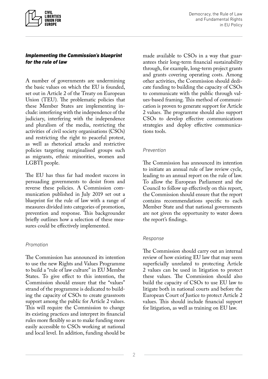<span id="page-2-0"></span>

#### *Implementing the Commission's blueprint for the rule of law*

A number of governments are undermining the basic values on which the EU is founded, set out in Article 2 of the Treaty on European Union (TEU). The problematic policies that these Member States are implementing include: interfering with the independence of the judiciary, interfering with the independence and pluralism of the media, restricting the activities of civil society organisations (CSOs) and restricting the right to peaceful protest, as well as rhetorical attacks and restrictive policies targeting marginalised groups such as migrants, ethnic minorities, women and LGBTI people.

The EU has thus far had modest success in persuading governments to desist from and reverse these policies. A Commission communication published in July 2019 set out a blueprint for the rule of law with a range of measures divided into categories of promotion, prevention and response. This backgrounder briefly outlines how a selection of these measures could be effectively implemented.

#### *Promotion*

The Commission has announced its intention to use the new Rights and Values Programme to build a "rule of law culture" in EU Member States. To give effect to this intention, the Commission should ensure that the "values" strand of the programme is dedicated to building the capacity of CSOs to create grassroots support among the public for Article 2 values. This will require the Commission to change its existing practices and interpret its financial rules more flexibly so as to make funding more easily accessible to CSOs working at national and local level. In addition, funding should be made available to CSOs in a way that guarantees their long-term financial sustainability through, for example, long-term project grants and grants covering operating costs. Among other activities, the Commission should dedicate funding to building the capacity of CSOs to communicate with the public through values-based framing. This method of communication is proven to generate support for Article 2 values. The programme should also support CSOs to develop effective communications strategies and deploy effective communications tools.

#### *Prevention*

The Commission has announced its intention to initiate an annual rule of law review cycle, leading to an annual report on the rule of law. To allow the European Parliament and the Council to follow up effectively on this report, the Commission should ensure that the report contains recommendations specific to each Member State and that national governments are not given the opportunity to water down the report's findings.

#### *Response*

The Commission should carry out an internal review of how existing EU law that may seem superficially unrelated to protecting Article 2 values can be used in litigation to protect these values. The Commission should also build the capacity of CSOs to use EU law to litigate both in national courts and before the European Court of Justice to protect Article 2 values. This should include financial support for litigation, as well as training on EU law.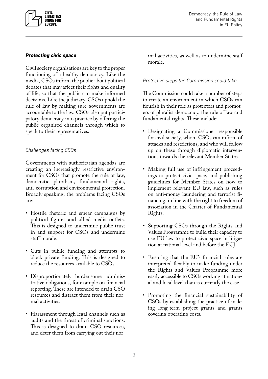<span id="page-3-0"></span>

#### *Protecting civic space*

Civil society organisations are key to the proper functioning of a healthy democracy. Like the media, CSOs inform the public about political debates that may affect their rights and quality of life, so that the public can make informed decisions. Like the judiciary, CSOs uphold the rule of law by making sure governments are accountable to the law. CSOs also put participatory democracy into practice by offering the public organised channels through which to speak to their representatives.

#### *Challenges facing CSOs*

Governments with authoritarian agendas are creating an increasingly restrictive environment for CSOs that promote the rule of law, democratic pluralism, fundamental rights, anti-corruption and environmental protection. Broadly speaking, the problems facing CSOs are:

- Hostile rhetoric and smear campaigns by political figures and allied media outlets. This is designed to undermine public trust in and support for CSOs and undermine staff morale.
- Cuts in public funding and attempts to block private funding. This is designed to reduce the resources available to CSOs.
- Disproportionately burdensome administrative obligations, for example on financial reporting. These are intended to drain CSO resources and distract them from their normal activities.
- Harassment through legal channels such as audits and the threat of criminal sanctions. This is designed to drain CSO resources, and deter them from carrying out their nor-

mal activities, as well as to undermine staff morale.

#### *Protective steps the Commission could take*

The Commission could take a number of steps to create an environment in which CSOs can flourish in their role as protectors and promoters of pluralist democracy, the rule of law and fundamental rights. These include:

- Designating a Commissioner responsible for civil society, whom CSOs can inform of attacks and restrictions, and who will follow up on these through diplomatic interventions towards the relevant Member States.
- Making full use of infringement proceedings to protect civic space, and publishing guidelines for Member States on how to implement relevant EU law, such as rules on anti-money laundering and terrorist financing, in line with the right to freedom of association in the Charter of Fundamental Rights.
- Supporting CSOs through the Rights and Values Programme to build their capacity to use EU law to protect civic space in litigation at national level and before the ECJ.
- Ensuring that the EU's financial rules are interpreted flexibly to make funding under the Rights and Values Programme more easily accessible to CSOs working at national and local level than is currently the case.
- Promoting the financial sustainability of CSOs by establishing the practice of making long-term project grants and grants covering operating costs.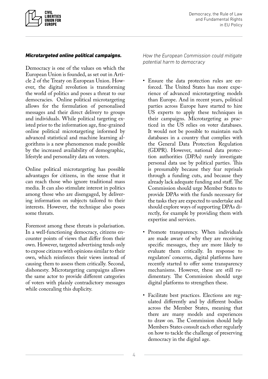<span id="page-4-0"></span>

#### *Microtargeted online political campaigns.*

Democracy is one of the values on which the European Union is founded, as set out in Article 2 of the Treaty on European Union. However, the digital revolution is transforming the world of politics and poses a threat to our democracies. Online political microtargeting allows for the formulation of personalised messages and their direct delivery to groups and individuals. While political targeting existed prior to the information age, fine-grained online political microtargeting informed by advanced statistical and machine learning algorithms is a new phenomenon made possible by the increased availability of demographic, lifestyle and personality data on voters.

Online political microtargeting has possible advantages for citizens, in the sense that it can reach those who ignore traditional mass media. It can also stimulate interest in politics among those who are disengaged, by delivering information on subjects tailored to their interests. However, the technique also poses some threats.

Foremost among these threats is polarisation. In a well-functioning democracy, citizens encounter points of views that differ from their own. However, targeted advertising tends only to expose citizens with opinions similar to their own, which reinforces their views instead of causing them to assess them critically. Second, dishonesty. Microtargeting campaigns allows the same actor to provide different categories of voters with plainly contradictory messages while concealing this duplicity.

*How the European Commission could mitigate potential harm to democracy*

- Ensure the data protection rules are enforced. The United States has more experience of advanced microtargeting models than Europe. And in recent years, political parties across Europe have started to hire US experts to apply these techniques in their campaigns. Microtargeting as practiced in the US relies on voter databases. It would not be possible to maintain such databases in a country that complies with the General Data Protection Regulation (GDPR). However, national data protection authorities (DPAs) rarely investigate personal data use by political parties. This is presumably because they fear reprisals through a funding cuts, and because they already lack adequate funding and staff. The Commission should urge Member States to provide DPAs with the funds necessary for the tasks they are expected to undertake and should explore ways of supporting DPAs directly, for example by providing them with expertise and services.
- Promote transparency. When individuals are made aware of why they are receiving specific messages, they are more likely to evaluate them critically. In response to regulators' concerns, digital platforms have recently started to offer some transparency mechanisms. However, these are still rudimentary. The Commission should urge digital platforms to strengthen these.
- Facilitate best practices. Elections are regulated differently and by different bodies across the Member States, meaning that there are many models and experiences to draw on. The Commission should help Members States consult each other regularly on how to tackle the challenge of preserving democracy in the digital age.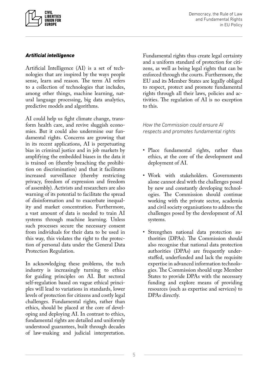<span id="page-5-0"></span>

#### *Artificial intelligence*

Artificial Intelligence (AI) is a set of technologies that are inspired by the ways people sense, learn and reason. The term AI refers to a collection of technologies that includes, among other things, machine learning, natural language processing, big data analytics, predictive models and algorithms.

AI could help us fight climate change, transform health care, and revive sluggish economies. But it could also undermine our fundamental rights. Concerns are growing that in its recent applications, AI is perpetuating bias in criminal justice and in job markets by amplifying the embedded biases in the data it is trained on (thereby breaching the prohibition on discrimination) and that it facilitates increased surveillance (thereby restricting privacy, freedom of expression and freedom of assembly). Activists and researchers are also warning of its potential to facilitate the spread of disinformation and to exacerbate inequality and market concentration. Furthermore, a vast amount of data is needed to train AI systems through machine learning. Unless such processes secure the necessary consent from individuals for their data to be used in this way, this violates the right to the protection of personal data under the General Data Protection Regulation.

In acknowledging these problems, the tech industry is increasingly turning to ethics for guiding principles on AI. But sectoral self-regulation based on vague ethical principles will lead to variations in standards, lower levels of protection for citizens and costly legal challenges. Fundamental rights, rather than ethics, should be placed at the core of developing and deploying AI. In contrast to ethics, fundamental rights are detailed and uniformly understood guarantees, built through decades of law-making and judicial interpretation.

Fundamental rights thus create legal certainty and a uniform standard of protection for citizens, as well as being legal rights that can be enforced through the courts. Furthermore, the EU and its Member States are legally obliged to respect, protect and promote fundamental rights through all their laws, policies and activities. The regulation of AI is no exception to this.

*How the Commission could ensure AI respects and promotes fundamental rights*

- Place fundamental rights, rather than ethics, at the core of the development and deployment of AI.
- Work with stakeholders. Governments alone cannot deal with the challenges posed by new and constantly developing technologies. The Commission should continue working with the private sector, academia and civil society organisations to address the challenges posed by the development of AI systems.
- Strengthen national data protection authorities (DPAs). The Commission should also recognise that national data protection authorities (DPAs) are frequently understaffed, underfunded and lack the requisite expertise in advanced information technologies. The Commission should urge Member States to provide DPAs with the necessary funding and explore means of providing resources (such as expertise and services) to DPAs directly.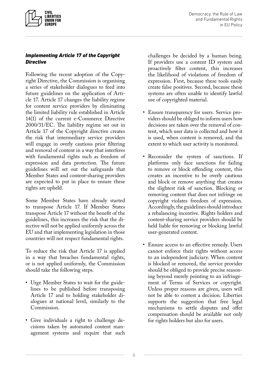

#### *Implementing Article 17 of the Copyright Directive*

<span id="page-6-0"></span>**CIVIL LIBERTIES UNION FOR EUROPE** 

Following the recent adoption of the Copyright Directive, the Commission is organising a series of stakeholder dialogues to feed into future guidelines on the application of Article 17. Article 17 changes the liability regime for content service providers by eliminating the limited liability rule established in Article 14(1) of the current e-Commerce Directive 2000/31/EC. The liability regime set out in Article 17 of the Copyright directive creates the risk that intermediary service providers will engage in overly cautious prior filtering and removal of content in a way that interferes with fundamental rights such as freedom of expression and data protection. The future guidelines will set out the safeguards that Member States and content-sharing providers are expected to put in place to ensure these rights are upheld.

Some Member States have already started to transpose Article 17. If Member States transpose Article 17 without the benefit of the guidelines, this increases the risk that the directive will not be applied uniformly across the EU and that implementing legislation in those countries will not respect fundamental rights.

To reduce the risk that Article 17 is applied in a way that breaches fundamental rights, or is not applied uniformly, the Commission should take the following steps.

- Urge Member States to wait for the guidelines to be published before transposing Article 17 and to holding stakeholder dialogues at national level, similarly to the Commission.
- Give individuals a right to challenge decisions taken by automated content management systems and require that such

challenges be decided by a human being. If providers use a content ID system and proactively filter content, this increases the likelihood of violations of freedom of expression. First, because these tools easily create false positives. Second, because these systems are often unable to identify lawful use of copyrighted material.

- Ensure transparency for users. Service providers should be obliged to inform users how decisions are taken over the removal of content, which user data is collected and how it is used, when content is removed, and the extent to which user activity is monitored.
- Reconsider the system of sanctions. If platforms only face sanctions for failing to remove or block offending content, this creates an incentive to be overly cautious and block or remove anything that creates the slightest risk of sanction. Blocking or removing content that does not infringe on copyright violates freedom of expression. Accordingly, the guidelines should introduce a rebalancing incentive. Rights holders and content-sharing service providers should be held liable for removing or blocking lawful user-generated content.
- Ensure access to an effective remedy. Users cannot enforce their rights without access to an independent judiciary. When content is blocked or removed, the service provider should be obliged to provide precise reasoning beyond merely pointing to an infringement of Terms of Services or copyright. Unless proper reasons are given, users will not be able to contest a decision. Liberties supports the suggestion that free legal mechanisms to settle disputes and offer compensation should be available not only for rights holders but also for users.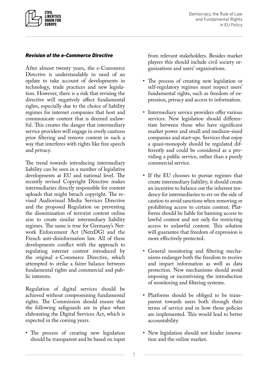<span id="page-7-0"></span>

#### *Revision of the e-Commerce Directive*

After almost twenty years, the e-Commerce Directive is understandably in need of an update to take account of developments in technology, trade practices and new legislation. However, there is a risk that revising the directive will negatively affect fundamental rights, especially due to the choice of liability regimes for internet companies that host and communicate content that is deemed unlawful. This creates the danger that intermediary service providers will engage in overly cautious prior filtering and remove content in such a way that interferes with rights like free speech and privacy.

The trend towards introducing intermediary liability can be seen in a number of legislative developments at EU and national level. The recently revised Copyright Directive makes intermediaries directly responsible for content uploads that might breach copyright. The revised Audiovisual Media Services Directive and the proposed Regulation on preventing the dissemination of terrorist content online aim to create similar intermediary liability regimes. The same is true for Germany's Network Enforcement Act (NetzDG) and the French anti-disinformation law. All of these developments conflict with the approach to regulating internet content introduced by the original e-Commerce Directive, which attempted to strike a fairer balance between fundamental rights and commercial and public interests.

Regulation of digital services should be achieved without compromising fundamental rights. The Commission should ensure that the following safeguards are in place when elaborating the Digital Services Act, which is expected in the coming years.

• The process of creating new legislation should be transparent and be based on input from relevant stakeholders. Besides market players this should include civil society organisations and users' organisations.

- The process of creating new legislation or self-regulatory regimes must respect users' fundamental rights, such as freedom of expression, privacy and access to information.
- Intermediary service providers offer various services. New legislation should differentiate between those who have significant market power and small and medium-sized companies and start-ups. Services that enjoy a quasi-monopoly should be regulated differently and could be considered as a providing a public service, rather than a purely commercial service.
- If the EU chooses to pursue regimes that create intermediary liability, it should create an incentive to balance out the inherent tendency for intermediaries to err on the side of caution to avoid sanctions when removing or prohibiting access to certain content. Platforms should be liable for banning access to lawful content and not only for restricting access to unlawful content. This solution will guarantee that freedom of expression is more effectively protected.
- General monitoring and filtering mechanisms endanger both the freedom to receive and impart information as well as data protection. New mechanisms should avoid imposing or incentivising the introduction of monitoring and filtering systems.
- Platforms should be obliged to be transparent towards users both through their terms of service and in how those policies are implemented. This would lead to better accountability.
- New legislation should not hinder innovation and the online market.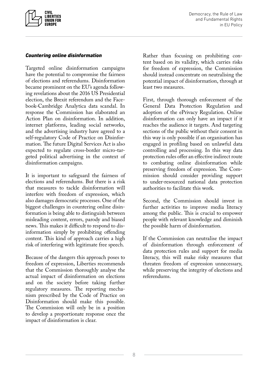<span id="page-8-0"></span>

#### *Countering online disinformation*

Targeted online disinformation campaigns have the potential to compromise the fairness of elections and referendums. Disinformation became prominent on the EU's agenda following revelations about the 2016 US Presidential election, the Brexit referendum and the Facebook-Cambridge Analytica data scandal. In response the Commission has elaborated an Action Plan on disinformation. In addition, internet platforms, leading social networks, and the advertising industry have agreed to a self-regulatory Code of Practice on Disinformation. The future Digital Services Act is also expected to regulate cross-border micro-targeted political advertising in the context of disinformation campaigns.

It is important to safeguard the fairness of elections and referendums. But there is a risk that measures to tackle disinformation will interfere with freedom of expression, which also damages democratic processes. One of the biggest challenges in countering online disinformation is being able to distinguish between misleading content, errors, parody and biased news. This makes it difficult to respond to disinformation simply by prohibiting offending content. This kind of approach carries a high risk of interfering with legitimate free speech.

Because of the dangers this approach poses to freedom of expression, Liberties recommends that the Commission thoroughly analyse the actual impact of disinformation on elections and on the society before taking further regulatory measures. The reporting mechanism prescribed by the Code of Practice on Disinformation should make this possible. The Commission will only be in a position to develop a proportionate response once the impact of disinformation is clear.

Rather than focusing on prohibiting content based on its validity, which carries risks for freedom of expression, the Commission should instead concentrate on neutralising the potential impact of disinformation, through at least two measures.

First, through thorough enforcement of the General Data Protection Regulation and adoption of the ePrivacy Regulation. Online disinformation can only have an impact if it reaches the audience it targets. And targeting sections of the public without their consent in this way is only possible if an organisation has engaged in profiling based on unlawful data controlling and processing. In this way data protection rules offer an effective indirect route to combating online disinformation while preserving freedom of expression. The Commission should consider providing support to under-resourced national data protection authorities to facilitate this work.

Second, the Commission should invest in further activities to improve media literacy among the public. This is crucial to empower people with relevant knowledge and diminish the possible harm of disinformation.

If the Commission can neutralise the impact of disinformation through enforcement of data protection rules and support for media literacy, this will make risky measures that threaten freedom of expression unnecessary, while preserving the integrity of elections and referendums.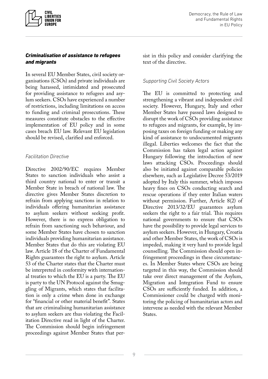<span id="page-9-0"></span>

#### *Criminalisation of assistance to refugees and migrants*

In several EU Member States, civil society organisations (CSOs) and private individuals are being harassed, intimidated and prosecuted for providing assistance to refugees and asylum seekers. CSOs have experienced a number of restrictions, including limitations on access to funding and criminal prosecutions. These measures constitute obstacles to the effective implementation of EU policy and in some cases breach EU law. Relevant EU legislation should be revised, clarified and enforced.

#### *Facilitation Directive*

Directive 2002/90/EC requires Member States to sanction individuals who assist a third country national to enter or transit a Member State in breach of national law. The directive gives Member States discretion to refrain from applying sanctions in relation to individuals offering humanitarian assistance to asylum seekers without seeking profit. However, there is no express obligation to refrain from sanctioning such behaviour, and some Member States have chosen to sanction individuals providing humanitarian assistance. Member States that do this are violating EU law. Article 18 of the Charter of Fundamental Rights guarantees the right to asylum. Article 53 of the Charter states that the Charter must be interpreted in conformity with international treaties to which the EU is a party. The EU is party to the UN Protocol against the Smuggling of Migrants, which states that facilitation is only a crime when done in exchange for "financial or other material benefit". States that are criminalising humanitarian assistance to asylum seekers are thus violating the Facilitation Directive read in light of the Charter. The Commission should begin infringement proceedings against Member States that persist in this policy and consider clarifying the text of the directive.

#### *Supporting Civil Society Actors*

The EU is committed to protecting and strengthening a vibrant and independent civil society. However, Hungary, Italy and other Member States have passed laws designed to disrupt the work of CSOs providing assistance to refugees and migrants, for example, by imposing taxes on foreign funding or making any kind of assistance to undocumented migrants illegal. Liberties welcomes the fact that the Commission has taken legal action against Hungary following the introduction of new laws attacking CSOs. Proceedings should also be initiated against comparable policies elsewhere, such as Legislative Decree 53/2019 adopted by Italy this summer, which imposes heavy fines on CSOs conducting search and rescue operations if they enter Italian waters without permission. Further, Article 8(2) of Directive 2013/32/EU guarantees asylum seekers the right to a fair trial. This requires national governments to ensure that CSOs have the possibility to provide legal services to asylum seekers. However, in Hungary, Croatia and other Member States, the work of CSOs is impeded, making it very hard to provide legal counselling. The Commission should open infringement proceedings in these circumstances. In Member States where CSOs are being targeted in this way, the Commission should take over direct management of the Asylum, Migration and Integration Fund to ensure CSOs are sufficiently funded. In addition, a Commissioner could be charged with monitoring the policing of humanitarian actors and intervene as needed with the relevant Member States.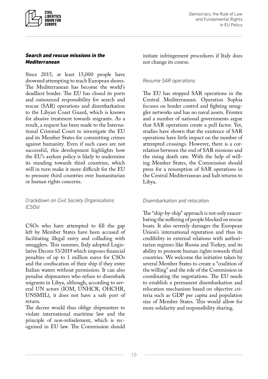<span id="page-10-0"></span>

#### *Search and rescue missions in the Mediterranean*

Since 2015, at least 15,000 people have drowned attempting to reach European shores. The Mediterranean has become the world's deadliest border. The EU has closed its ports and outsourced responsibility for search and rescue (SAR) operations and disembarkation to the Libyan Coast Guard, which is known for abusive treatment towards migrants. As a result, a request has been made to the International Criminal Court to investigate the EU and its Member States for committing crimes against humanity. Even if such cases are not successful, this development highlights how the EU's asylum policy is likely to undermine its standing towards third countries, which will in turn make it more difficult for the EU to pressure third countries over humanitarian or human rights concerns.

*Crackdown on Civil Society Organisations (CSOs)*

CSOs who have attempted to fill the gap left by Member States have been accused of facilitating illegal entry and colluding with smugglers. This summer, Italy adopted Legislative Decree 53/2019 which imposes financial penalties of up to 1 million euros for CSOs and the confiscation of their ship if they enter Italian waters without permission. It can also penalise shipmasters who refuse to disembark migrants in Libya, although, according to several UN actors (IOM, UNHCR, OHCHR, UNSMIL), it does not have a safe port of return.

The decree would thus oblige shipmasters to violate international maritime law and the principle of non-refoulement, which is recognised in EU law. The Commission should initiate infringement procedures if Italy does not change its course.

#### *Resume SAR operations*

The EU has stopped SAR operations in the Central Mediterranean. Operation Sophia focuses on border control and fighting smuggler networks and has no naval assets. Frontex and a number of national governments argue that SAR operations create a pull factor. Yet, studies have shown that the existence of SAR operations have little impact on the number of attempted crossings. However, there is a correlation between the end of SAR missions and the rising death rate. With the help of willing Member States, the Commission should press for a resumption of SAR operations in the Central Mediterranean and halt returns to Libya.

#### *Disembarkation and relocation*

The "ship-by-ship" approach is not only exacerbating the suffering of people blocked on rescue boats. It also severely damages the European Union's international reputation and thus its credibility in external relations with authoritarian regimes like Russia and Turkey, and its ability to promote human rights towards third countries. We welcome the initiative taken by several Member States to create a "coalition of the willing" and the role of the Commission in coordinating the negotiations. The EU needs to establish a permanent disembarkation and relocation mechanism based on objective criteria such as GDP per capita and population size of Member States. This would allow for more solidarity and responsibility sharing.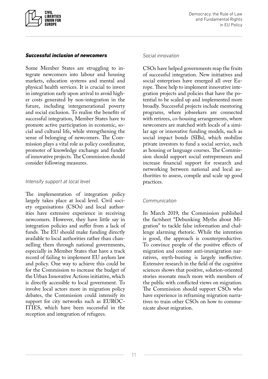<span id="page-11-0"></span>

#### *Successful inclusion of newcomers*

Some Member States are struggling to integrate newcomers into labour and housing markets, education systems and mental and physical health services. It is crucial to invest in integration early upon arrival to avoid higher costs generated by non-integration in the future, including intergenerational poverty and social exclusion. To realise the benefits of successful integration, Member States have to promote active participation in economic, social and cultural life, while strengthening the sense of belonging of newcomers. The Commission plays a vital role as policy coordinator, promoter of knowledge exchange and funder of innovative projects. The Commission should consider following measures.

#### *Intensify support at local level*

The implementation of integration policy largely takes place at local level. Civil society organisations (CSOs) and local authorities have extensive experience in receiving newcomers. However, they have little say in integration policies and suffer from a lack of funds. The EU should make funding directly available to local authorities rather than channelling them through national governments, especially in Member States that have a track record of failing to implement EU asylum law and policy. One way to achieve this could be for the Commission to increase the budget of the Urban Innovative Actions initiative, which is directly accessible to local government. To involve local actors more in migration policy debates, the Commission could intensify its support for city networks such as EUROC-ITIES, which have been successful in the reception and integration of refugees.

#### *Social innovation*

CSOs have helped governments reap the fruits of successful integration. New initiatives and social enterprises have emerged all over Europe. These help to implement innovative integration projects and policies that have the potential to be scaled up and implemented more broadly. Successful projects include mentoring programs, where jobseekers are connected with retirees, co-housing arrangements, where newcomers are matched with locals of a similar age or innovative funding models, such as social impact bonds (SIBs), which mobilise private investors to fund a social service, such as housing or language courses. The Commission should support social entrepreneurs and increase financial support for research and networking between national and local authorities to assess, compile and scale up good practices.

#### *Communication*

In March 2019, the Commission published the factsheet "Debunking Myths about Migration" to tackle false information and challenge alarming rhetoric. While the intention is good, the approach is counterproductive. To convince people of the positive effects of migration and counter anti-immigration narratives, myth-busting is largely ineffective. Extensive research in the field of the cognitive sciences shows that positive, solution-oriented stories resonate much more with members of the public with conflicted views on migration. The Commission should support CSOs who have experience in reframing migration narratives to train other CSOs on how to communicate about migration.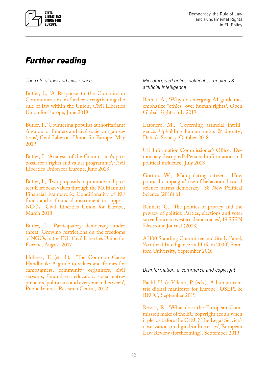<span id="page-12-0"></span>

Democracy, the Rule of Law and Fundamental Rights in EU Policy

### *Further reading*

*The rule of law and civic space*

[Butler, I., 'A Response to the Commission](https://www.liberties.eu/f/wm0xpr)  [Communication on further strengthening the](https://www.liberties.eu/f/wm0xpr)  [rule of law within the Union', Civil Liberties](https://www.liberties.eu/f/wm0xpr)  [Union for Europe, June 2019](https://www.liberties.eu/f/wm0xpr)

[Butler, I., 'Countering populist authoritarians:](https://www.liberties.eu/f/ss9cPR)  [A guide for funders and civil society organisa](https://www.liberties.eu/f/ss9cPR)[tions', Civil Liberties Union for Europe, May](https://www.liberties.eu/f/ss9cPR)  [2019](https://www.liberties.eu/f/ss9cPR)

[Butler, I., 'Analysis of the Commission's pro](https://www.liberties.eu/f/bGvl4K)[posal for a rights and values programme', Civil](https://www.liberties.eu/f/bGvl4K)  [Liberties Union for Europe, June 2018](https://www.liberties.eu/f/bGvl4K)

[Butler, I., 'Two proposals to promote and pro](https://drive.google.com/file/d/1UG4PIg7tObjUoK9tBKq3IdqCT-eB5iM9/view)[tect European values through the Multiannual](https://drive.google.com/file/d/1UG4PIg7tObjUoK9tBKq3IdqCT-eB5iM9/view)  [Financial Framework: Conditionality of EU](https://drive.google.com/file/d/1UG4PIg7tObjUoK9tBKq3IdqCT-eB5iM9/view)  [funds and a financial instrument to support](https://drive.google.com/file/d/1UG4PIg7tObjUoK9tBKq3IdqCT-eB5iM9/view)  [NGOs', Civil Liberties Union for Europe,](https://drive.google.com/file/d/1UG4PIg7tObjUoK9tBKq3IdqCT-eB5iM9/view)  [March 2018](https://drive.google.com/file/d/1UG4PIg7tObjUoK9tBKq3IdqCT-eB5iM9/view)

[Butler, I., 'Participatory democracy under](https://drive.google.com/file/d/0B_W-Vna2eVNVOFk5VXUzeE9CdGM/view)  [threat: Growing restrictions on the freedoms](https://drive.google.com/file/d/0B_W-Vna2eVNVOFk5VXUzeE9CdGM/view)  [of NGOs in the EU', Civil Liberties Union for](https://drive.google.com/file/d/0B_W-Vna2eVNVOFk5VXUzeE9CdGM/view)  [Europe, August 2017](https://drive.google.com/file/d/0B_W-Vna2eVNVOFk5VXUzeE9CdGM/view)

[Holmes, T. \(et al.\), 'The Common Cause](https://publicinterest.org.uk/download/values/Common%20Cause%20Handbook.pdf)  [Handbook: A guide to values and frames for](https://publicinterest.org.uk/download/values/Common%20Cause%20Handbook.pdf)  [campaigners, community organisers, civil](https://publicinterest.org.uk/download/values/Common%20Cause%20Handbook.pdf)  [servants, fundraisers, educators, social entre](https://publicinterest.org.uk/download/values/Common%20Cause%20Handbook.pdf)[preneurs, politicians and everyone in between',](https://publicinterest.org.uk/download/values/Common%20Cause%20Handbook.pdf)  [Public Interest Research Centre, 2012](https://publicinterest.org.uk/download/values/Common%20Cause%20Handbook.pdf)

*Microtargeted online political campaigns & artificial intelligence*

[Berhet, A., 'Why do emerging AI guidelines](https://www.openglobalrights.org/why-do-emerging-ai-guidelines-emphasize-ethics-over-human-rights/)  [emphasize "ethics" over human rights?, Open](https://www.openglobalrights.org/why-do-emerging-ai-guidelines-emphasize-ethics-over-human-rights/)  [Global Rights, July 2019](https://www.openglobalrights.org/why-do-emerging-ai-guidelines-emphasize-ethics-over-human-rights/)

[Latonero, M., 'Governing artificial intelli](https://datasociety.net/output/governing-artificial-intelligence/)[gence: Upholding human rights & dignity',](https://datasociety.net/output/governing-artificial-intelligence/)  [Data & Society, October 2018](https://datasociety.net/output/governing-artificial-intelligence/)

[UK Information Commissioner's Office, 'De](https://ico.org.uk/media/2259369/democracy-disrupted-110718.pdf)[mocracy disrupted? Personal information and](https://ico.org.uk/media/2259369/democracy-disrupted-110718.pdf)  [political influence', July 2018](https://ico.org.uk/media/2259369/democracy-disrupted-110718.pdf)

[Gorton, W., 'Manipulating citizens: How](https://www.researchgate.net/publication/293193323_Manipulating_Citizens_How_Political_Campaigns)  [political campaigns' use of behavioural social](https://www.researchgate.net/publication/293193323_Manipulating_Citizens_How_Political_Campaigns)  [science harms democracy', 38 New Political](https://www.researchgate.net/publication/293193323_Manipulating_Citizens_How_Political_Campaigns)  [Science \(2016\) 61](https://www.researchgate.net/publication/293193323_Manipulating_Citizens_How_Political_Campaigns)

[Bennett, C., 'The politics of privacy and the](https://www.researchgate.net/publication/272236723_The_Politics_of_Privacy_and_the_Privacy_of_Politics_Parties_Elections_and_Voter_Surveillance_in_Western_Democracies)  [privacy of politics: Parties, elections and voter](https://www.researchgate.net/publication/272236723_The_Politics_of_Privacy_and_the_Privacy_of_Politics_Parties_Elections_and_Voter_Surveillance_in_Western_Democracies)  [surveillance in western democracies', 18 SSRN](https://www.researchgate.net/publication/272236723_The_Politics_of_Privacy_and_the_Privacy_of_Politics_Parties_Elections_and_Voter_Surveillance_in_Western_Democracies)  [Electronic Journal \(2013\)](https://www.researchgate.net/publication/272236723_The_Politics_of_Privacy_and_the_Privacy_of_Politics_Parties_Elections_and_Voter_Surveillance_in_Western_Democracies)

[AI100 Standing Committee and Study Panel,](http://ai100.stanford.edu/2016-report)  ['Artificial Intelligence and Life in 2030', Stan](http://ai100.stanford.edu/2016-report)[ford University, September 2016](http://ai100.stanford.edu/2016-report)

*Disinformation, e-commerce and copyright*

[Pachl, U. & Valenti, P. \(eds.\), 'A human-cen](https://www.opensocietyfoundations.org/publications/a-human-centric-digital-manifesto-for-europe)[tric digital manifesto for Europe', OSEPI &](https://www.opensocietyfoundations.org/publications/a-human-centric-digital-manifesto-for-europe)  [BEUC, September 2019](https://www.opensocietyfoundations.org/publications/a-human-centric-digital-manifesto-for-europe)

[Rosati, E., 'What does the European Com](https://papers.ssrn.com/sol3/papers.cfm?abstract_id=3455387)[mission make of the EU copyright acquis when](https://papers.ssrn.com/sol3/papers.cfm?abstract_id=3455387)  [it pleads before the CJEU? The Legal Service's](https://papers.ssrn.com/sol3/papers.cfm?abstract_id=3455387)  [observations in digital/online cases', European](https://papers.ssrn.com/sol3/papers.cfm?abstract_id=3455387)  [Law Review \(forthcoming\), September 2019](https://papers.ssrn.com/sol3/papers.cfm?abstract_id=3455387)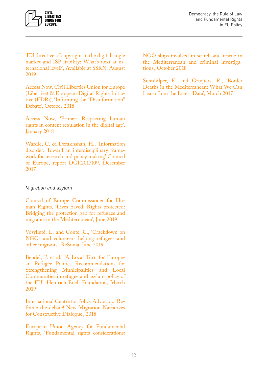<span id="page-13-0"></span>

['EU directive of copyright in the digital single](https://papers.ssrn.com/sol3/papers.cfm?abstract_id=3434061)  [market and ISP liability: What's next at in](https://papers.ssrn.com/sol3/papers.cfm?abstract_id=3434061)[ternational level?', Available at SSRN, August](https://papers.ssrn.com/sol3/papers.cfm?abstract_id=3434061)  [2019](https://papers.ssrn.com/sol3/papers.cfm?abstract_id=3434061)

[Access Now, Civil Liberties Union for Europe](https://www.liberties.eu/f/2r7-0S)  [\(Liberties\) & European Digital Rights Initia](https://www.liberties.eu/f/2r7-0S)[tive \(EDRi\), 'Informing the "Disinformation"](https://www.liberties.eu/f/2r7-0S)  [Debate', October 2018](https://www.liberties.eu/f/2r7-0S)

[Access Now, 'Primer: Respecting human](https://www.ohchr.org/_layouts/15/WopiFrame.aspx?sourcedoc=/Documents/Issues/Opinion/ContentRegulation/AccessNow.docx&action=default&DefaultItemOpen=1)  [rights in content regulation in the digital age',](https://www.ohchr.org/_layouts/15/WopiFrame.aspx?sourcedoc=/Documents/Issues/Opinion/ContentRegulation/AccessNow.docx&action=default&DefaultItemOpen=1)  [January 2018](https://www.ohchr.org/_layouts/15/WopiFrame.aspx?sourcedoc=/Documents/Issues/Opinion/ContentRegulation/AccessNow.docx&action=default&DefaultItemOpen=1)

[Wardle, C. & Derakhshan, H., 'Information](https://edoc.coe.int/en/media/7495-information-disorder-toward-an-interdisciplinary-framework-for-research-and-policy-making.html)  [disorder: Toward an interdisciplinary frame](https://edoc.coe.int/en/media/7495-information-disorder-toward-an-interdisciplinary-framework-for-research-and-policy-making.html)[work for research and policy making' Council](https://edoc.coe.int/en/media/7495-information-disorder-toward-an-interdisciplinary-framework-for-research-and-policy-making.html)  [of Europe, report DGI\(2017\)09, December](https://edoc.coe.int/en/media/7495-information-disorder-toward-an-interdisciplinary-framework-for-research-and-policy-making.html)  [2017](https://edoc.coe.int/en/media/7495-information-disorder-toward-an-interdisciplinary-framework-for-research-and-policy-making.html)

#### *Migration and asylum*

[Council of Europe Commissioner for Hu](https://rm.coe.int/lives-saved-rights-protected-bridging-the-protection-gap-for-refugees-/168094eb87)[man Rights, 'Lives Saved. Rights protected:](https://rm.coe.int/lives-saved-rights-protected-bridging-the-protection-gap-for-refugees-/168094eb87)  [Bridging the protection gap for refugees and](https://rm.coe.int/lives-saved-rights-protected-bridging-the-protection-gap-for-refugees-/168094eb87)  [migrants in the Mediterranean', June 2019](https://rm.coe.int/lives-saved-rights-protected-bridging-the-protection-gap-for-refugees-/168094eb87)

[Vosyliūtė, L. and Conte, C., 'Crackdown on](http://www.resoma.eu/sites/resoma/resoma/files/policy_brief/pdf/Final%20Synthetic%20Report%20-%20Crackdown%20on%20NGOs%20and%20volunteers%20helping%20refugees%20and%20other%20migrants_1.pdf)  [NGOs and volunteers helping refugees and](http://www.resoma.eu/sites/resoma/resoma/files/policy_brief/pdf/Final%20Synthetic%20Report%20-%20Crackdown%20on%20NGOs%20and%20volunteers%20helping%20refugees%20and%20other%20migrants_1.pdf)  [other migrants', ReSoma, June 2019](http://www.resoma.eu/sites/resoma/resoma/files/policy_brief/pdf/Final%20Synthetic%20Report%20-%20Crackdown%20on%20NGOs%20and%20volunteers%20helping%20refugees%20and%20other%20migrants_1.pdf)

[Bendel, P. et al., 'A Local Turn for Europe](https://www.boell.de/sites/default/files/e-paper_a_local_turn_for_european_refugee_politics.pdf?dimension1=division_euna)[an Refugee Politics Recommendations for](https://www.boell.de/sites/default/files/e-paper_a_local_turn_for_european_refugee_politics.pdf?dimension1=division_euna)  [Strengthening Municipalities and Local](https://www.boell.de/sites/default/files/e-paper_a_local_turn_for_european_refugee_politics.pdf?dimension1=division_euna)  [Communities in refugee and asylum policy of](https://www.boell.de/sites/default/files/e-paper_a_local_turn_for_european_refugee_politics.pdf?dimension1=division_euna)  [the EU', Heinrich Boell Foundation, March](https://www.boell.de/sites/default/files/e-paper_a_local_turn_for_european_refugee_politics.pdf?dimension1=division_euna)  [2019](https://www.boell.de/sites/default/files/e-paper_a_local_turn_for_european_refugee_politics.pdf?dimension1=division_euna)

[International Centre for Policy Advocacy, 'Re](https://www.narrativechange.org/)[frame the debate! New Migration Narratives](https://www.narrativechange.org/)  [for Constructive Dialogue', 2018](https://www.narrativechange.org/)

[European Union Agency for Fundamental](https://fra.europa.eu/en/publication/2018/ngos-sar-activities)  [Rights, 'Fundamental rights considerations:](https://fra.europa.eu/en/publication/2018/ngos-sar-activities)  [NGO ships involved in search and rescue in](https://fra.europa.eu/en/publication/2018/ngos-sar-activities)  [the Mediterranean and criminal investiga](https://fra.europa.eu/en/publication/2018/ngos-sar-activities)[tions', October 2018](https://fra.europa.eu/en/publication/2018/ngos-sar-activities)

[Steinhilper, E. and Gruijters, R., 'Border](https://www.law.ox.ac.uk/research-subject-groups/centre-criminology/centreborder-criminologies/blog/2017/03/border-deaths)  [Deaths in the Mediterranean: What We Can](https://www.law.ox.ac.uk/research-subject-groups/centre-criminology/centreborder-criminologies/blog/2017/03/border-deaths)  [Learn from the Latest Data', March 2017](https://www.law.ox.ac.uk/research-subject-groups/centre-criminology/centreborder-criminologies/blog/2017/03/border-deaths)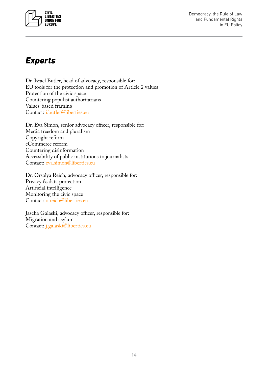<span id="page-14-0"></span>

Democracy, the Rule of Law and Fundamental Rights in EU Policy

## *Experts*

Dr. Israel Butler, head of advocacy, responsible for: EU tools for the protection and promotion of Article 2 values Protection of the civic space Countering populist authoritarians Values-based framing Contact: [i.butler@liberties.eu](mailto:i.butler%40liberties.eu%20?subject=) 

Dr. Eva Simon, senior advocacy officer, responsible for: Media freedom and pluralism Copyright reform eCommerce reform Countering disinformation Accessibility of public institutions to journalists Contact: [eva.simon@liberties.eu](mailto:eva.simon%40liberties.eu?subject=)

Dr. Orsolya Reich, advocacy officer, responsible for: Privacy & data protection Artificial intelligence Monitoring the civic space Contact: [o.reich@liberties.eu](mailto:o.reich%40liberties.eu?subject=)

Jascha Galaski, advocacy officer, responsible for: Migration and asylum Contact: [j.galaski@liberties.eu](mailto:j.galaski%40liberties.eu?subject=)